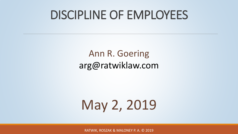# DISCIPLINE OF EMPLOYEES

#### Ann R. Goering arg@ratwiklaw.com

# May 2, 2019

RATWIK, ROSZAK & MALONEY P. A. © 2019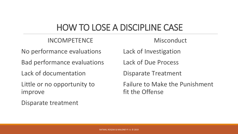#### HOW TO LOSE A DISCIPLINE CASE

#### INCOMPETENCE

**Misconduct** 

No performance evaluations

Bad performance evaluations

Lack of documentation

Little or no opportunity to improve

Disparate treatment

Lack of Investigation

Lack of Due Process

Disparate Treatment

Failure to Make the Punishment fit the Offense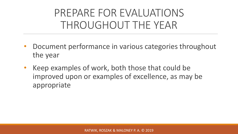# PREPARE FOR EVALUATIONS THROUGHOUT THE YEAR

- Document performance in various categories throughout the year
- Keep examples of work, both those that could be improved upon or examples of excellence, as may be appropriate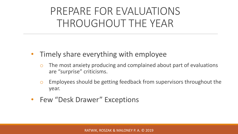# PREPARE FOR EVALUATIONS THROUGHOUT THE YEAR

- Timely share everything with employee
	- o The most anxiety producing and complained about part of evaluations are "surprise" criticisms.
	- o Employees should be getting feedback from supervisors throughout the year.
- Few "Desk Drawer" Exceptions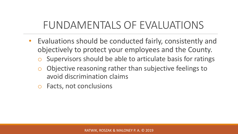# FUNDAMENTALS OF EVALUATIONS

- Evaluations should be conducted fairly, consistently and objectively to protect your employees and the County.
	- Supervisors should be able to articulate basis for ratings
	- Objective reasoning rather than subjective feelings to avoid discrimination claims
	- o Facts, not conclusions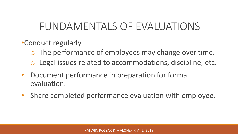# FUNDAMENTALS OF EVALUATIONS

- •Conduct regularly
	- o The performance of employees may change over time.
	- o Legal issues related to accommodations, discipline, etc.
- Document performance in preparation for formal evaluation.
- Share completed performance evaluation with employee.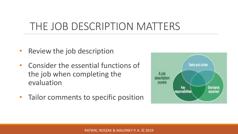# THE JOB DESCRIPTION MATTERS

- Review the job description
- Consider the essential functions of the job when completing the evaluation
- Tailor comments to specific position

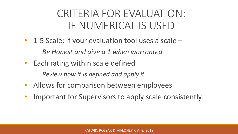# CRITERIA FOR EVALUATION: IF NUMERICAL IS USED

- 1-5 Scale: If your evaluation tool uses a scale *Be Honest and give a 1 when warranted*
- Each rating within scale defined

*Review how it is defined and apply it*

- Allows for comparison between employees
- Important for Supervisors to apply scale consistently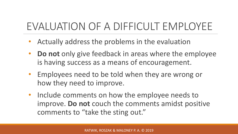# EVALUATION OF A DIFFICULT EMPLOYEE

- Actually address the problems in the evaluation
- **Do not** only give feedback in areas where the employee is having success as a means of encouragement.
- Employees need to be told when they are wrong or how they need to improve.
- Include comments on how the employee needs to improve. **Do not** couch the comments amidst positive comments to "take the sting out."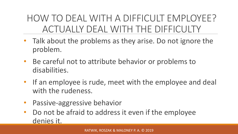#### HOW TO DEAL WITH A DIFFICULT EMPLOYEE? ACTUALLY DEAL WITH THE DIFFICULTY

- Talk about the problems as they arise. Do not ignore the problem.
- Be careful not to attribute behavior or problems to disabilities.
- If an employee is rude, meet with the employee and deal with the rudeness.
- Passive-aggressive behavior
- Do not be afraid to address it even if the employee denies it.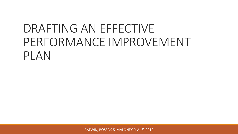# DRAFTING AN EFFECTIVE PERFORMANCE IMPROVEMENT PLAN

RATWIK, ROSZAK & MALONEY P. A. © 2019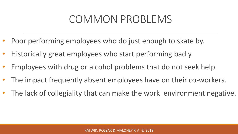# COMMON PROBLEMS

- Poor performing employees who do just enough to skate by.
- Historically great employees who start performing badly.
- Employees with drug or alcohol problems that do not seek help.
- The impact frequently absent employees have on their co-workers.
- The lack of collegiality that can make the work environment negative.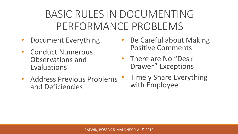# BASIC RULES IN DOCUMENTING PERFORMANCE PROBLEMS

- Document Everything
- Conduct Numerous Observations and Evaluations
- Address Previous Problems and Deficiencies
- Be Careful about Making Positive Comments
- There are No "Desk Drawer" Exceptions
- **Timely Share Everything** with Employee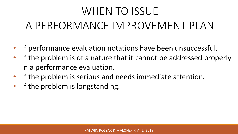# WHEN TO ISSUE A PERFORMANCE IMPROVEMENT PLAN

- If performance evaluation notations have been unsuccessful.
- If the problem is of a nature that it cannot be addressed properly in a performance evaluation.
- If the problem is serious and needs immediate attention.
- If the problem is longstanding.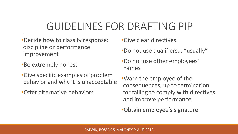# GUIDELINES FOR DRAFTING PIP

- •Decide how to classify response: discipline or performance improvement
- •Be extremely honest
- •Give specific examples of problem behavior and why it is unacceptable
- •Offer alternative behaviors

•Give clear directives.

- •Do not use qualifiers... "usually"
- •Do not use other employees' names
- •Warn the employee of the consequences, up to termination, for failing to comply with directives and improve performance
- •Obtain employee's signature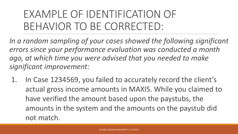# EXAMPLE OF IDENTIFICATION OF BEHAVIOR TO BE CORRECTED:

*In a random sampling of your cases showed the following significant errors since your performance evaluation was conducted a month ago, at which time you were advised that you needed to make significant improvement:* 

1. In Case 1234569, you failed to accurately record the client's actual gross income amounts in MAXIS. While you claimed to have verified the amount based upon the paystubs, the amounts in the system and the amounts on the paystub did not match.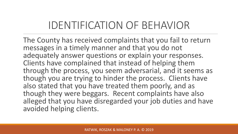# IDENTIFICATION OF BEHAVIOR

The County has received complaints that you fail to return messages in a timely manner and that you do not adequately answer questions or explain your responses. Clients have complained that instead of helping them through the process, you seem adversarial, and it seems as though you are trying to hinder the process. Clients have also stated that you have treated them poorly, and as though they were beggars. Recent complaints have also alleged that you have disregarded your job duties and have avoided helping clients.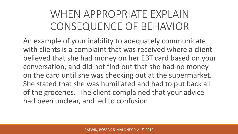# WHEN APPROPRIATE EXPLAIN CONSEQUENCE OF BEHAVIOR

An example of your inability to adequately communicate with clients is a complaint that was received where a client believed that she had money on her EBT card based on your conversation, and did not find out that she had no money on the card until she was checking out at the supermarket. She stated that she was humiliated and had to put back all of the groceries. The client complained that your advice had been unclear, and led to confusion.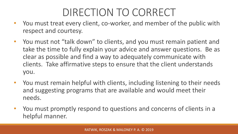# DIRECTION TO CORRECT

- You must treat every client, co-worker, and member of the public with respect and courtesy.
- You must not "talk down" to clients, and you must remain patient and take the time to fully explain your advice and answer questions. Be as clear as possible and find a way to adequately communicate with clients. Take affirmative steps to ensure that the client understands you.
- You must remain helpful with clients, including listening to their needs and suggesting programs that are available and would meet their needs.
- You must promptly respond to questions and concerns of clients in a helpful manner.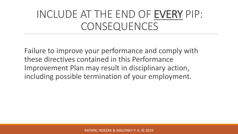# INCLUDE AT THE END OF EVERY PIP: CONSEQUENCES

Failure to improve your performance and comply with these directives contained in this Performance Improvement Plan may result in disciplinary action, including possible termination of your employment.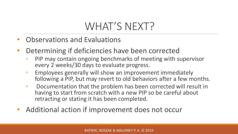# WHAT'S NEXT?

- Observations and Evaluations
- Determining if deficiencies have been corrected
	- PIP may contain ongoing benchmarks of meeting with supervisor every 2 weeks/30 days to evaluate progress.
	- Employees generally will show an improvement immediately following a PIP, but may revert to old behaviors after a few months.
	- Documentation that the problem has been corrected will result in having to start from scratch with a new PIP so be careful about retracting or stating it has been completed.
- Additional action if improvement does not occur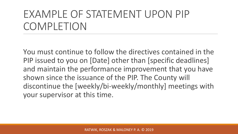# EXAMPLE OF STATEMENT UPON PIP COMPLETION

You must continue to follow the directives contained in the PIP issued to you on [Date] other than [specific deadlines] and maintain the performance improvement that you have shown since the issuance of the PIP. The County will discontinue the [weekly/bi-weekly/monthly] meetings with your supervisor at this time.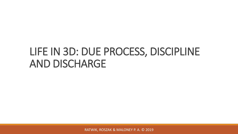## LIFE IN 3D: DUE PROCESS, DISCIPLINE AND DISCHARGE

RATWIK, ROSZAK & MALONEY P. A. © 2019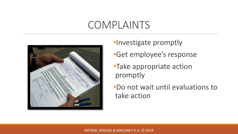#### COMPLAINTS



- •Investigate promptly
- •Get employee's response
- •Take appropriate action promptly
- •Do not wait until evaluations to take action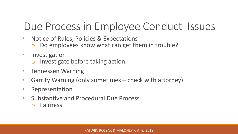# Due Process in Employee Conduct Issues

- Notice of Rules, Policies & Expectations
	- Do employees know what can get them in trouble?
- Investigation
	- o Investigate before taking action.
- Tennessen Warning
- Garrity Warning (only sometimes check with attorney)
- Representation
- Substantive and Procedural Due Process
	- o Fairness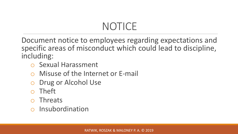# NOTICE

Document notice to employees regarding expectations and specific areas of misconduct which could lead to discipline, including:

- o Sexual Harassment
- Misuse of the Internet or E-mail
- o Drug or Alcohol Use
- **Theft**
- o Threats
- Insubordination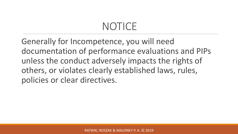# NOTICE

Generally for Incompetence, you will need documentation of performance evaluations and PIPs unless the conduct adversely impacts the rights of others, or violates clearly established laws, rules, policies or clear directives.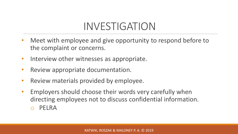# INVESTIGATION

- Meet with employee and give opportunity to respond before to the complaint or concerns.
- Interview other witnesses as appropriate.
- Review appropriate documentation.
- Review materials provided by employee.
- Employers should choose their words very carefully when directing employees not to discuss confidential information. PELRA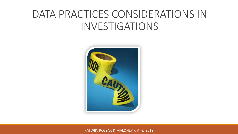### DATA PRACTICES CONSIDERATIONS IN INVESTIGATIONS



RATWIK, ROSZAK & MALONEY P. A. © 2019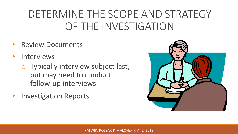# DETERMINE THE SCOPE AND STRATEGY OF THE INVESTIGATION

- **Review Documents**
- **Interviews** 
	- o Typically interview subject last, but may need to conduct follow-up interviews
- Investigation Reports

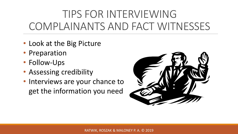# TIPS FOR INTERVIEWING COMPLAINANTS AND FACT WITNESSES

- Look at the Big Picture
- Preparation
- Follow-Ups
- Assessing credibility
- Interviews are your chance to get the information you need

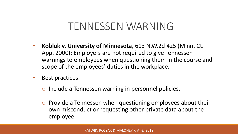#### TENNESSEN WARNING

- **Kobluk v. University of Minnesota**, 613 N.W.2d 425 (Minn. Ct. App. 2000): Employers are not required to give Tennessen warnings to employees when questioning them in the course and scope of the employees' duties in the workplace.
- Best practices:
	- o Include a Tennessen warning in personnel policies.
	- o Provide a Tennessen when questioning employees about their own misconduct or requesting other private data about the employee.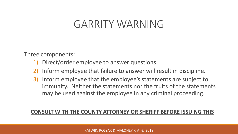#### GARRITY WARNING

Three components:

- 1) Direct/order employee to answer questions.
- Inform employee that failure to answer will result in discipline.
- 3) Inform employee that the employee's statements are subject to immunity. Neither the statements nor the fruits of the statements may be used against the employee in any criminal proceeding.

#### **CONSULT WITH THE COUNTY ATTORNEY OR SHERIFF BEFORE ISSUING THIS**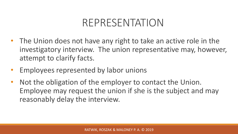#### REPRESENTATION

- The Union does not have any right to take an active role in the investigatory interview. The union representative may, however, attempt to clarify facts.
- Employees represented by labor unions
- Not the obligation of the employer to contact the Union. Employee may request the union if she is the subject and may reasonably delay the interview.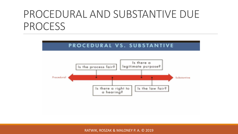# PROCEDURAL AND SUBSTANTIVE DUE PROCESS

#### PROCEDURAL VS. SUBSTANTIVE



RATWIK, ROSZAK & MALONEY P. A. © 2019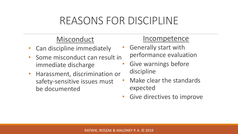#### REASONS FOR DISCIPLINE

#### **Misconduct**

- Can discipline immediately
- Some misconduct can result in immediate discharge
- Harassment, discrimination or safety-sensitive issues must be documented

#### Incompetence

- Generally start with performance evaluation
- Give warnings before discipline
- Make clear the standards expected
- Give directives to improve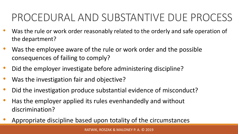# PROCEDURAL AND SUBSTANTIVE DUE PROCESS

- Was the rule or work order reasonably related to the orderly and safe operation of the department?
- Was the employee aware of the rule or work order and the possible consequences of failing to comply?
- Did the employer investigate before administering discipline?
- Was the investigation fair and objective?
- Did the investigation produce substantial evidence of misconduct?
- Has the employer applied its rules evenhandedly and without discrimination?
- Appropriate discipline based upon totality of the circumstances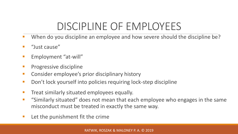# DISCIPLINE OF EMPLOYEES

- When do you discipline an employee and how severe should the discipline be?
- "Just cause"
- Employment "at-will"
- Progressive discipline
- Consider employee's prior disciplinary history
- Don't lock yourself into policies requiring lock-step discipline
- Treat similarly situated employees equally.
- "Similarly situated" does not mean that each employee who engages in the same misconduct must be treated in exactly the same way.
- Let the punishment fit the crime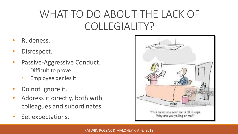# WHAT TO DO ABOUT THE LACK OF COLLEGIALITY?

- Rudeness.
- Disrespect.
- Passive-Aggressive Conduct.
	- Difficult to prove
	- Employee denies it
- Do not ignore it.
- Address it directly, both with colleagues and subordinates.
- Set expectations.

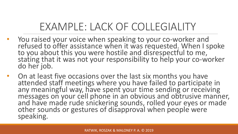# EXAMPLE: LACK OF COLLEGIALITY

- You raised your voice when speaking to your co-worker and refused to offer assistance when it was requested. When I spoke to you about this you were hostile and disrespectful to me, stating that it was not your responsibility to help your co-worker do her job.
- On at least five occasions over the last six months you have attended staff meetings where you have failed to participate in any meaningful way, have spent your time sending or receiving messages on your cell phone in an obvious and obtrusive manner, and have made rude snickering sounds, rolled your eyes or made other sounds or gestures of disapproval when people were speaking.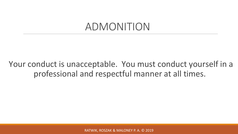#### ADMONITION

#### Your conduct is unacceptable. You must conduct yourself in a professional and respectful manner at all times.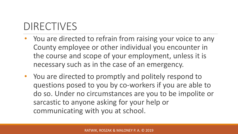# DIRECTIVES

- You are directed to refrain from raising your voice to any County employee or other individual you encounter in the course and scope of your employment, unless it is necessary such as in the case of an emergency.
- You are directed to promptly and politely respond to questions posed to you by co-workers if you are able to do so. Under no circumstances are you to be impolite or sarcastic to anyone asking for your help or communicating with you at school.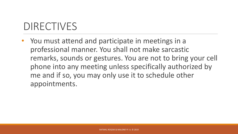# DIRECTIVES

• You must attend and participate in meetings in a professional manner. You shall not make sarcastic remarks, sounds or gestures. You are not to bring your cell phone into any meeting unless specifically authorized by me and if so, you may only use it to schedule other appointments.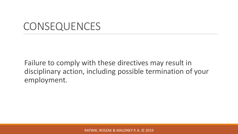## **CONSEQUENCES**

Failure to comply with these directives may result in disciplinary action, including possible termination of your employment.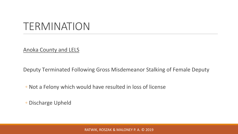#### TERMINATION

Anoka County and LELS

Deputy Terminated Following Gross Misdemeanor Stalking of Female Deputy

◦ Not a Felony which would have resulted in loss of license

◦ Discharge Upheld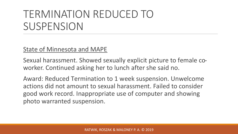## TERMINATION REDUCED TO SUSPENSION

#### State of Minnesota and MAPE

Sexual harassment. Showed sexually explicit picture to female coworker. Continued asking her to lunch after she said no.

Award: Reduced Termination to 1 week suspension. Unwelcome actions did not amount to sexual harassment. Failed to consider good work record. Inappropriate use of computer and showing photo warranted suspension.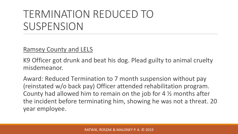## TERMINATION REDUCED TO SUSPENSION

#### Ramsey County and LELS

K9 Officer got drunk and beat his dog. Plead guilty to animal cruelty misdemeanor.

Award: Reduced Termination to 7 month suspension without pay (reinstated w/o back pay) Officer attended rehabilitation program. County had allowed him to remain on the job for 4 ½ months after the incident before terminating him, showing he was not a threat. 20 year employee.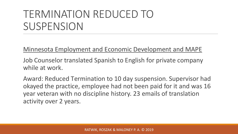## TERMINATION REDUCED TO SUSPENSION

Minnesota Employment and Economic Development and MAPE

Job Counselor translated Spanish to English for private company while at work.

Award: Reduced Termination to 10 day suspension. Supervisor had okayed the practice, employee had not been paid for it and was 16 year veteran with no discipline history. 23 emails of translation activity over 2 years.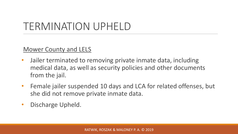# TERMINATION UPHELD

#### Mower County and LELS

- Jailer terminated to removing private inmate data, including medical data, as well as security policies and other documents from the jail.
- Female jailer suspended 10 days and LCA for related offenses, but she did not remove private inmate data.
- Discharge Upheld.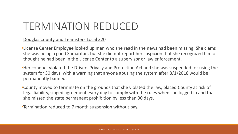# TERMINATION REDUCED

#### Douglas County and Teamsters Local 320

•License Center Employee looked up man who she read in the news had been missing. She clams she was being a good Samaritan, but she did not report her suspicion that she recognized him or thought he had been in the License Center to a supervisor or law enforcement.

•Her conduct violated the Drivers Privacy and Protection Act and she was suspended for using the system for 30 days, with a warning that anyone abusing the system after 8/1/2018 would be permanently banned.

•County moved to terminate on the grounds that she violated the law, placed County at risk of legal liability, singed agreement every day to comply with the rules when she logged in and that she missed the state permanent prohibition by less than 90 days.

•Termination reduced to 7 month suspension without pay.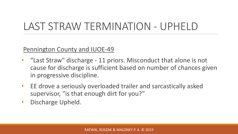# LAST STRAW TERMINATION - UPHELD

Pennington County and IUOE-49

- "Last Straw" discharge 11 priors. Misconduct that alone is not cause for discharge is sufficient based on number of chances given in progressive discipline.
- EE drove a seriously overloaded trailer and sarcastically asked supervisor, "is that enough dirt for you?"
- Discharge Upheld.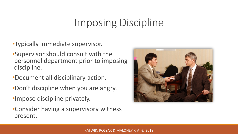# Imposing Discipline

#### •Typically immediate supervisor.

- •Supervisor should consult with the personnel department prior to imposing discipline.
- •Document all disciplinary action.
- •Don't discipline when you are angry.
- •Impose discipline privately.
- •Consider having a supervisory witness present.

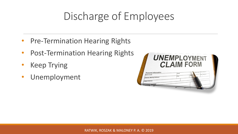# Discharge of Employees

- Pre-Termination Hearing Rights
- Post-Termination Hearing Rights
- **Keep Trying**
- Unemployment

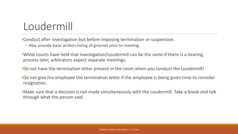# Loudermill

•Conduct after investigation but before imposing termination or suspension.

- May provide basic written listing of grounds prior to meeting.
- •While courts have held that investigation/Loudermill can be the same if there is a hearing process later, arbitrators expect separate meetings.
- •Do not have the termination letter present in the room when you conduct the Loudermill!
- •Do not give the employee the termination letter if the employee is being given time to consider resignation.
- •Make sure that a decision is not made simultaneously with the Loudermill. Take a break and talk through what the person said.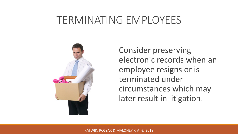#### TERMINATING EMPLOYEES



Consider preserving electronic records when an employee resigns or is terminated under circumstances which may later result in litigation.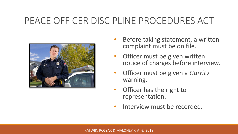#### PEACE OFFICER DISCIPLINE PROCEDURES ACT



- Before taking statement, a written complaint must be on file.
- Officer must be given written notice of charges before interview.
- Officer must be given a *Garrity*  warning.
- Officer has the right to representation.
- Interview must be recorded.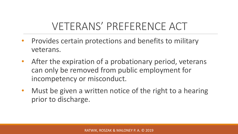# VETERANS' PREFERENCE ACT

- Provides certain protections and benefits to military veterans.
- After the expiration of a probationary period, veterans can only be removed from public employment for incompetency or misconduct.
- Must be given a written notice of the right to a hearing prior to discharge.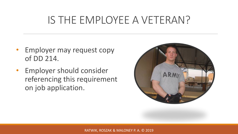### IS THE EMPLOYEE A VETERAN?

- Employer may request copy of DD 214.
- Employer should consider referencing this requirement on job application.

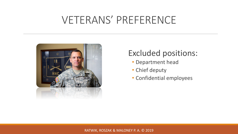### VETERANS' PREFERENCE



#### Excluded positions:

- Department head
- Chief deputy
- Confidential employees

#### RATWIK, ROSZAK & MALONEY P. A. © 2019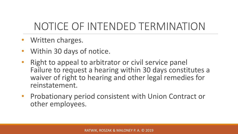# NOTICE OF INTENDED TERMINATION

- Written charges.
- Within 30 days of notice.
- Right to appeal to arbitrator or civil service panel Failure to request a hearing within 30 days constitutes a waiver of right to hearing and other legal remedies for reinstatement.
- Probationary period consistent with Union Contract or other employees.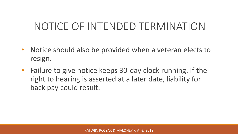# NOTICE OF INTENDED TERMINATION

- Notice should also be provided when a veteran elects to resign.
- Failure to give notice keeps 30-day clock running. If the right to hearing is asserted at a later date, liability for back pay could result.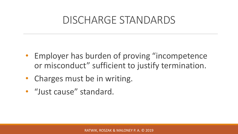#### DISCHARGE STANDARDS

- Employer has burden of proving "incompetence or misconduct" sufficient to justify termination.
- Charges must be in writing.
- "Just cause" standard.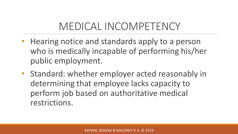# MEDICAL INCOMPETENCY

- Hearing notice and standards apply to a person who is medically incapable of performing his/her public employment.
- Standard: whether employer acted reasonably in determining that employee lacks capacity to perform job based on authoritative medical restrictions.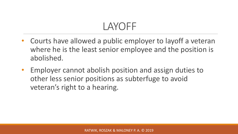## LAYOFF

- Courts have allowed a public employer to layoff a veteran where he is the least senior employee and the position is abolished.
- Employer cannot abolish position and assign duties to other less senior positions as subterfuge to avoid veteran's right to a hearing.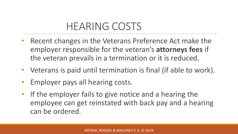## HEARING COSTS

- Recent changes in the Veterans Preference Act make the employer responsible for the veteran's **attorneys fees** if the veteran prevails in a termination or it is reduced.
- Veterans is paid until termination is final (if able to work).
- Employer pays all hearing costs.
- If the employer fails to give notice and a hearing the employee can get reinstated with back pay and a hearing can be ordered.